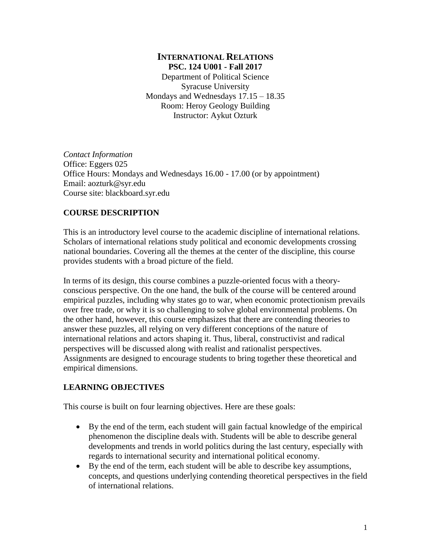# **INTERNATIONAL RELATIONS PSC. 124 U001 - Fall 2017**

Department of Political Science Syracuse University Mondays and Wednesdays 17.15 – 18.35 Room: Heroy Geology Building Instructor: Aykut Ozturk

*Contact Information* Office: Eggers 025 Office Hours: Mondays and Wednesdays 16.00 - 17.00 (or by appointment) Email: aozturk@syr.edu Course site: blackboard.syr.edu

# **COURSE DESCRIPTION**

This is an introductory level course to the academic discipline of international relations. Scholars of international relations study political and economic developments crossing national boundaries. Covering all the themes at the center of the discipline, this course provides students with a broad picture of the field.

In terms of its design, this course combines a puzzle-oriented focus with a theoryconscious perspective. On the one hand, the bulk of the course will be centered around empirical puzzles, including why states go to war, when economic protectionism prevails over free trade, or why it is so challenging to solve global environmental problems. On the other hand, however, this course emphasizes that there are contending theories to answer these puzzles, all relying on very different conceptions of the nature of international relations and actors shaping it. Thus, liberal, constructivist and radical perspectives will be discussed along with realist and rationalist perspectives. Assignments are designed to encourage students to bring together these theoretical and empirical dimensions.

# **LEARNING OBJECTIVES**

This course is built on four learning objectives. Here are these goals:

- By the end of the term, each student will gain factual knowledge of the empirical phenomenon the discipline deals with. Students will be able to describe general developments and trends in world politics during the last century, especially with regards to international security and international political economy.
- By the end of the term, each student will be able to describe key assumptions, concepts, and questions underlying contending theoretical perspectives in the field of international relations.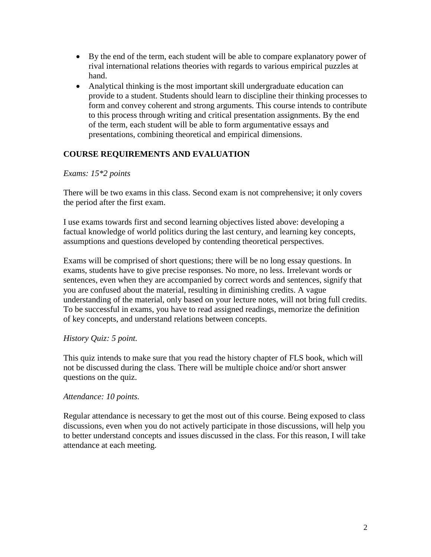- By the end of the term, each student will be able to compare explanatory power of rival international relations theories with regards to various empirical puzzles at hand.
- Analytical thinking is the most important skill undergraduate education can provide to a student. Students should learn to discipline their thinking processes to form and convey coherent and strong arguments. This course intends to contribute to this process through writing and critical presentation assignments. By the end of the term, each student will be able to form argumentative essays and presentations, combining theoretical and empirical dimensions.

# **COURSE REQUIREMENTS AND EVALUATION**

## *Exams: 15\*2 points*

There will be two exams in this class. Second exam is not comprehensive; it only covers the period after the first exam.

I use exams towards first and second learning objectives listed above: developing a factual knowledge of world politics during the last century, and learning key concepts, assumptions and questions developed by contending theoretical perspectives.

Exams will be comprised of short questions; there will be no long essay questions. In exams, students have to give precise responses. No more, no less. Irrelevant words or sentences, even when they are accompanied by correct words and sentences, signify that you are confused about the material, resulting in diminishing credits. A vague understanding of the material, only based on your lecture notes, will not bring full credits. To be successful in exams, you have to read assigned readings, memorize the definition of key concepts, and understand relations between concepts.

# *History Quiz: 5 point.*

This quiz intends to make sure that you read the history chapter of FLS book, which will not be discussed during the class. There will be multiple choice and/or short answer questions on the quiz.

#### *Attendance: 10 points.*

Regular attendance is necessary to get the most out of this course. Being exposed to class discussions, even when you do not actively participate in those discussions, will help you to better understand concepts and issues discussed in the class. For this reason, I will take attendance at each meeting.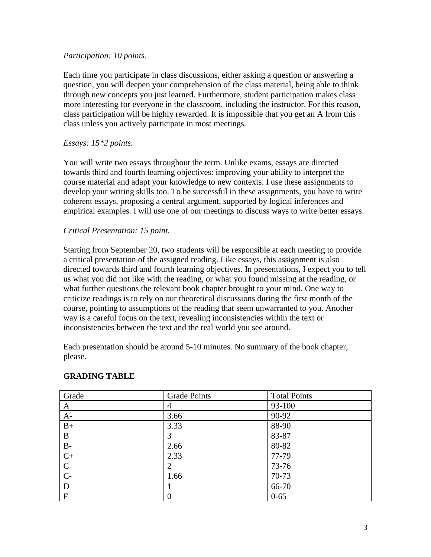## *Participation: 10 points.*

Each time you participate in class discussions, either asking a question or answering a question, you will deepen your comprehension of the class material, being able to think through new concepts you just learned. Furthermore, student participation makes class more interesting for everyone in the classroom, including the instructor. For this reason, class participation will be highly rewarded. It is impossible that you get an A from this class unless you actively participate in most meetings.

## *Essays: 15\*2 points.*

You will write two essays throughout the term. Unlike exams, essays are directed towards third and fourth learning objectives: improving your ability to interpret the course material and adapt your knowledge to new contexts. I use these assignments to develop your writing skills too. To be successful in these assignments, you have to write coherent essays, proposing a central argument, supported by logical inferences and empirical examples. I will use one of our meetings to discuss ways to write better essays.

## *Critical Presentation: 15 point.*

Starting from September 20, two students will be responsible at each meeting to provide a critical presentation of the assigned reading. Like essays, this assignment is also directed towards third and fourth learning objectives. In presentations, I expect you to tell us what you did not like with the reading, or what you found missing at the reading, or what further questions the relevant book chapter brought to your mind. One way to criticize readings is to rely on our theoretical discussions during the first month of the course, pointing to assumptions of the reading that seem unwarranted to you. Another way is a careful focus on the text, revealing inconsistencies within the text or inconsistencies between the text and the real world you see around.

Each presentation should be around 5-10 minutes. No summary of the book chapter, please.

| Grade            | <b>Grade Points</b> | <b>Total Points</b> |
|------------------|---------------------|---------------------|
| A                | 4                   | 93-100              |
| $A-$             | 3.66                | 90-92               |
| $B+$             | 3.33                | 88-90               |
| B                | 3                   | 83-87               |
| $B -$            | 2.66                | 80-82               |
| $\overline{C}$ + | 2.33                | 77-79               |
| $\mathcal{C}$    | 2                   | 73-76               |
| $C-$             | 1.66                | 70-73               |
| D                |                     | 66-70               |
| ${\bf F}$        | 0                   | $0 - 65$            |

#### **GRADING TABLE**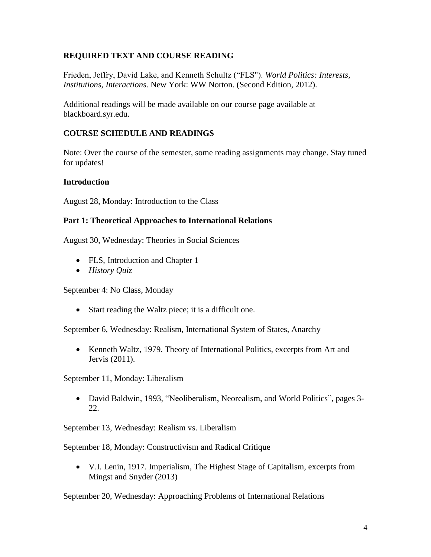# **REQUIRED TEXT AND COURSE READING**

Frieden, Jeffry, David Lake, and Kenneth Schultz ("FLS"). *World Politics: Interests, Institutions, Interactions.* New York: WW Norton. (Second Edition, 2012).

Additional readings will be made available on our course page available at blackboard.syr.edu.

# **COURSE SCHEDULE AND READINGS**

Note: Over the course of the semester, some reading assignments may change. Stay tuned for updates!

# **Introduction**

August 28, Monday: Introduction to the Class

## **Part 1: Theoretical Approaches to International Relations**

August 30, Wednesday: Theories in Social Sciences

- FLS, Introduction and Chapter 1
- *History Quiz*

September 4: No Class, Monday

• Start reading the Waltz piece; it is a difficult one.

September 6, Wednesday: Realism, International System of States, Anarchy

• Kenneth Waltz, 1979. Theory of International Politics, excerpts from Art and Jervis (2011).

September 11, Monday: Liberalism

• David Baldwin, 1993, "Neoliberalism, Neorealism, and World Politics", pages 3- 22.

September 13, Wednesday: Realism vs. Liberalism

September 18, Monday: Constructivism and Radical Critique

• V.I. Lenin, 1917. Imperialism, The Highest Stage of Capitalism, excerpts from Mingst and Snyder (2013)

September 20, Wednesday: Approaching Problems of International Relations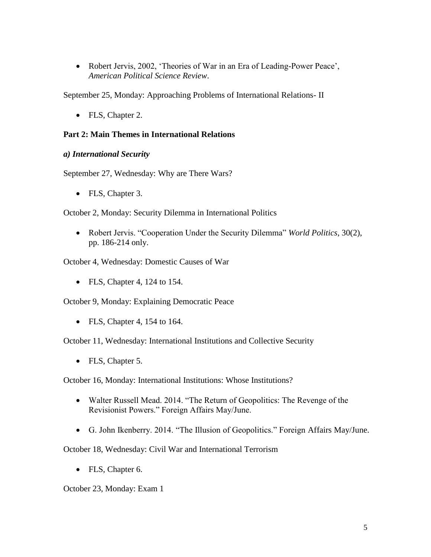• Robert Jervis, 2002, 'Theories of War in an Era of Leading-Power Peace', *American Political Science Review*.

September 25, Monday: Approaching Problems of International Relations- II

• FLS, Chapter 2.

# **Part 2: Main Themes in International Relations**

## *a) International Security*

September 27, Wednesday: Why are There Wars?

• FLS, Chapter 3.

October 2, Monday: Security Dilemma in International Politics

• Robert Jervis. "Cooperation Under the Security Dilemma" *World Politics*, 30(2), pp. 186-214 only.

October 4, Wednesday: Domestic Causes of War

• FLS, Chapter 4, 124 to 154.

October 9, Monday: Explaining Democratic Peace

• FLS, Chapter 4, 154 to 164.

October 11, Wednesday: International Institutions and Collective Security

• FLS, Chapter 5.

October 16, Monday: International Institutions: Whose Institutions?

- Walter Russell Mead. 2014. "The Return of Geopolitics: The Revenge of the Revisionist Powers." Foreign Affairs May/June.
- G. John Ikenberry. 2014. "The Illusion of Geopolitics." Foreign Affairs May/June.

October 18, Wednesday: Civil War and International Terrorism

• FLS, Chapter 6.

October 23, Monday: Exam 1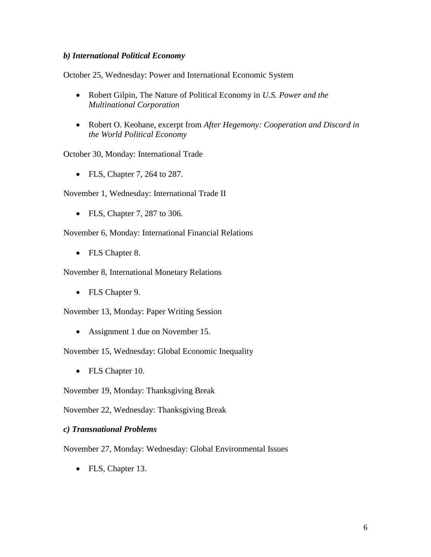## *b) International Political Economy*

October 25, Wednesday: Power and International Economic System

- Robert Gilpin, The Nature of Political Economy in *U.S. Power and the Multinational Corporation*
- Robert O. Keohane, excerpt from *After Hegemony: Cooperation and Discord in the World Political Economy*

October 30, Monday: International Trade

• FLS, Chapter 7, 264 to 287.

November 1, Wednesday: International Trade II

• FLS, Chapter 7, 287 to 306.

November 6, Monday: International Financial Relations

• FLS Chapter 8.

November 8, International Monetary Relations

• FLS Chapter 9.

November 13, Monday: Paper Writing Session

• Assignment 1 due on November 15.

November 15, Wednesday: Global Economic Inequality

• FLS Chapter 10.

November 19, Monday: Thanksgiving Break

November 22, Wednesday: Thanksgiving Break

#### *c) Transnational Problems*

November 27, Monday: Wednesday: Global Environmental Issues

• FLS, Chapter 13.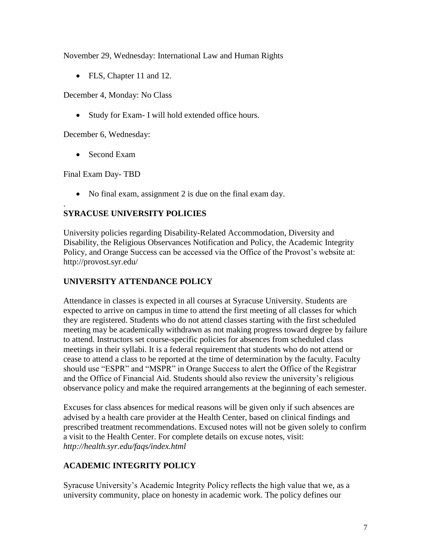November 29, Wednesday: International Law and Human Rights

• FLS, Chapter 11 and 12.

December 4, Monday: No Class

• Study for Exam- I will hold extended office hours.

December 6, Wednesday:

• Second Exam

Final Exam Day- TBD

.

• No final exam, assignment 2 is due on the final exam day.

# **SYRACUSE UNIVERSITY POLICIES**

University policies regarding Disability-Related Accommodation, Diversity and Disability, the Religious Observances Notification and Policy, the Academic Integrity Policy, and Orange Success can be accessed via the Office of the Provost's website at: http://provost.syr.edu/

# **UNIVERSITY ATTENDANCE POLICY**

Attendance in classes is expected in all courses at Syracuse University. Students are expected to arrive on campus in time to attend the first meeting of all classes for which they are registered. Students who do not attend classes starting with the first scheduled meeting may be academically withdrawn as not making progress toward degree by failure to attend. Instructors set course-specific policies for absences from scheduled class meetings in their syllabi. It is a federal requirement that students who do not attend or cease to attend a class to be reported at the time of determination by the faculty. Faculty should use "ESPR" and "MSPR" in Orange Success to alert the Office of the Registrar and the Office of Financial Aid. Students should also review the university's religious observance policy and make the required arrangements at the beginning of each semester.

Excuses for class absences for medical reasons will be given only if such absences are advised by a health care provider at the Health Center, based on clinical findings and prescribed treatment recommendations. Excused notes will not be given solely to confirm a visit to the Health Center. For complete details on excuse notes, visit: *http://health.syr.edu/faqs/index.html*

# **ACADEMIC INTEGRITY POLICY**

Syracuse University's Academic Integrity Policy reflects the high value that we, as a university community, place on honesty in academic work. The policy defines our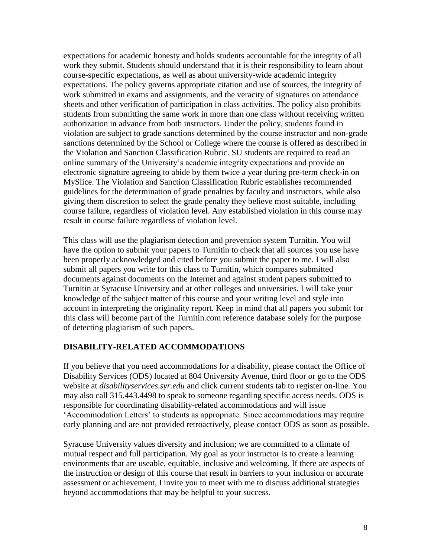expectations for academic honesty and holds students accountable for the integrity of all work they submit. Students should understand that it is their responsibility to learn about course-specific expectations, as well as about university-wide academic integrity expectations. The policy governs appropriate citation and use of sources, the integrity of work submitted in exams and assignments, and the veracity of signatures on attendance sheets and other verification of participation in class activities. The policy also prohibits students from submitting the same work in more than one class without receiving written authorization in advance from both instructors. Under the policy, students found in violation are subject to grade sanctions determined by the course instructor and non-grade sanctions determined by the School or College where the course is offered as described in the Violation and Sanction Classification Rubric. SU students are required to read an online summary of the University's academic integrity expectations and provide an electronic signature agreeing to abide by them twice a year during pre-term check-in on MySlice. The Violation and Sanction Classification Rubric establishes recommended guidelines for the determination of grade penalties by faculty and instructors, while also giving them discretion to select the grade penalty they believe most suitable, including course failure, regardless of violation level. Any established violation in this course may result in course failure regardless of violation level.

This class will use the plagiarism detection and prevention system Turnitin. You will have the option to submit your papers to Turnitin to check that all sources you use have been properly acknowledged and cited before you submit the paper to me. I will also submit all papers you write for this class to Turnitin, which compares submitted documents against documents on the Internet and against student papers submitted to Turnitin at Syracuse University and at other colleges and universities. I will take your knowledge of the subject matter of this course and your writing level and style into account in interpreting the originality report. Keep in mind that all papers you submit for this class will become part of the Turnitin.com reference database solely for the purpose of detecting plagiarism of such papers.

# **DISABILITY-RELATED ACCOMMODATIONS**

If you believe that you need accommodations for a disability, please contact the Office of Disability Services (ODS) located at 804 University Avenue, third floor or go to the ODS website at *disabilityservices.syr.edu* and click current students tab to register on-line. You may also call 315.443.4498 to speak to someone regarding specific access needs. ODS is responsible for coordinating disability-related accommodations and will issue 'Accommodation Letters' to students as appropriate. Since accommodations may require early planning and are not provided retroactively, please contact ODS as soon as possible.

Syracuse University values diversity and inclusion; we are committed to a climate of mutual respect and full participation. My goal as your instructor is to create a learning environments that are useable, equitable, inclusive and welcoming. If there are aspects of the instruction or design of this course that result in barriers to your inclusion or accurate assessment or achievement, I invite you to meet with me to discuss additional strategies beyond accommodations that may be helpful to your success.